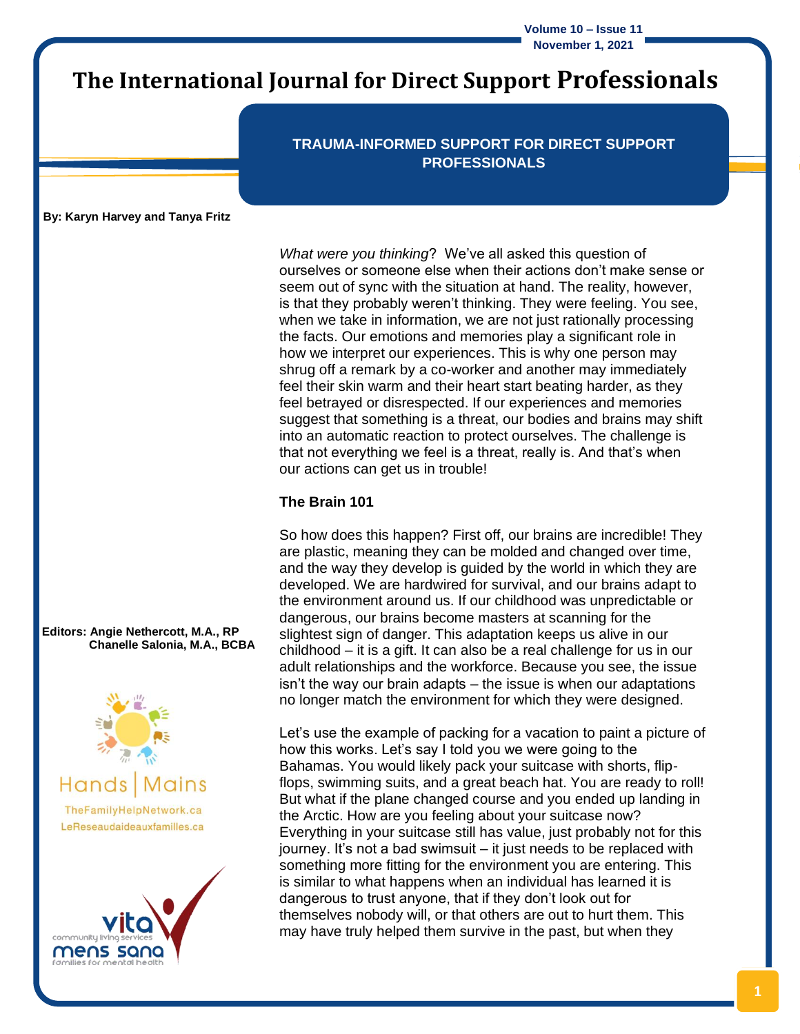**Volume 10 – Issue 11 November 1, 2021**

# **The International Journal for Direct Support Professionals**

**TRAUMA-INFORMED SUPPORT FOR DIRECT SUPPORT PROFESSIONALS**

**By: Karyn Harvey and Tanya Fritz**

*What were you thinking*? We've all asked this question of ourselves or someone else when their actions don't make sense or seem out of sync with the situation at hand. The reality, however, is that they probably weren't thinking. They were feeling. You see, when we take in information, we are not just rationally processing the facts. Our emotions and memories play a significant role in how we interpret our experiences. This is why one person may shrug off a remark by a co-worker and another may immediately feel their skin warm and their heart start beating harder, as they feel betrayed or disrespected. If our experiences and memories suggest that something is a threat, our bodies and brains may shift into an automatic reaction to protect ourselves. The challenge is that not everything we feel is a threat, really is. And that's when our actions can get us in trouble!

#### **The Brain 101**

So how does this happen? First off, our brains are incredible! They are plastic, meaning they can be molded and changed over time, and the way they develop is guided by the world in which they are developed. We are hardwired for survival, and our brains adapt to the environment around us. If our childhood was unpredictable or dangerous, our brains become masters at scanning for the slightest sign of danger. This adaptation keeps us alive in our childhood – it is a gift. It can also be a real challenge for us in our adult relationships and the workforce. Because you see, the issue isn't the way our brain adapts – the issue is when our adaptations no longer match the environment for which they were designed.

Let's use the example of packing for a vacation to paint a picture of how this works. Let's say I told you we were going to the Bahamas. You would likely pack your suitcase with shorts, flipflops, swimming suits, and a great beach hat. You are ready to roll! But what if the plane changed course and you ended up landing in the Arctic. How are you feeling about your suitcase now? Everything in your suitcase still has value, just probably not for this journey. It's not a bad swimsuit – it just needs to be replaced with something more fitting for the environment you are entering. This is similar to what happens when an individual has learned it is dangerous to trust anyone, that if they don't look out for themselves nobody will, or that others are out to hurt them. This may have truly helped them survive in the past, but when they

**Editors: Angie Nethercott, M.A., RP Chanelle Salonia, M.A., BCBA**



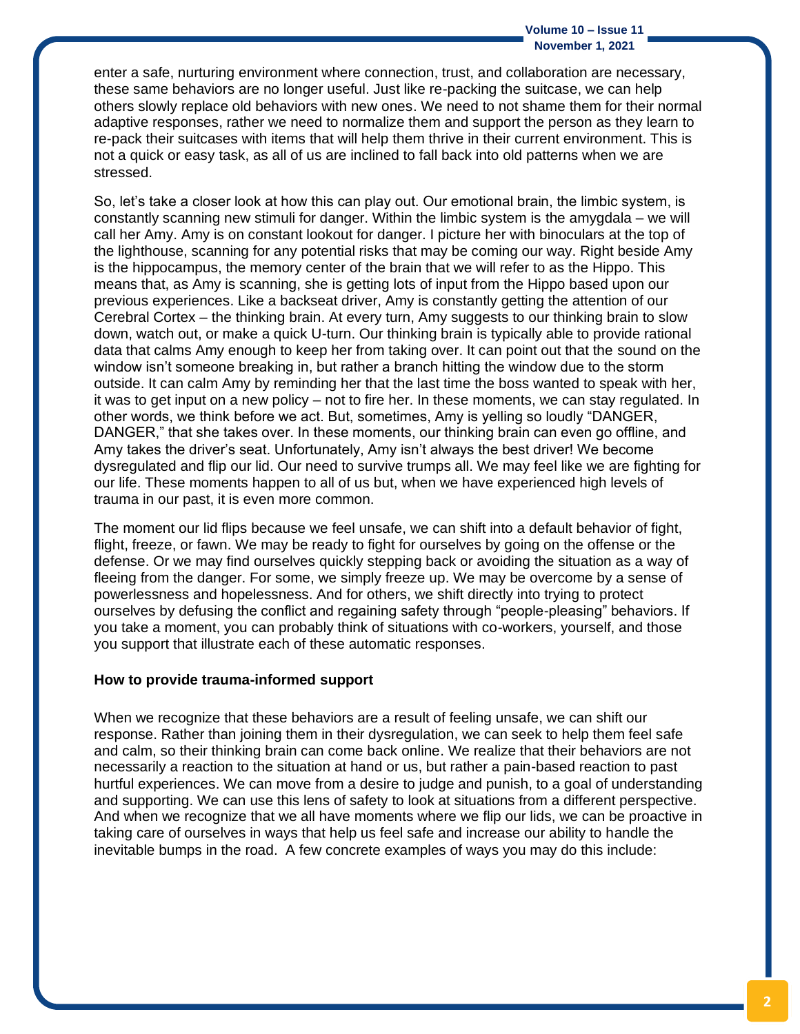#### **Volume 10 – Issue 11 November 1, 2021**

enter a safe, nurturing environment where connection, trust, and collaboration are necessary, these same behaviors are no longer useful. Just like re-packing the suitcase, we can help others slowly replace old behaviors with new ones. We need to not shame them for their normal adaptive responses, rather we need to normalize them and support the person as they learn to re-pack their suitcases with items that will help them thrive in their current environment. This is not a quick or easy task, as all of us are inclined to fall back into old patterns when we are stressed.

So, let's take a closer look at how this can play out. Our emotional brain, the limbic system, is constantly scanning new stimuli for danger. Within the limbic system is the amygdala – we will call her Amy. Amy is on constant lookout for danger. I picture her with binoculars at the top of the lighthouse, scanning for any potential risks that may be coming our way. Right beside Amy is the hippocampus, the memory center of the brain that we will refer to as the Hippo. This means that, as Amy is scanning, she is getting lots of input from the Hippo based upon our previous experiences. Like a backseat driver, Amy is constantly getting the attention of our Cerebral Cortex – the thinking brain. At every turn, Amy suggests to our thinking brain to slow down, watch out, or make a quick U-turn. Our thinking brain is typically able to provide rational data that calms Amy enough to keep her from taking over. It can point out that the sound on the window isn't someone breaking in, but rather a branch hitting the window due to the storm outside. It can calm Amy by reminding her that the last time the boss wanted to speak with her, it was to get input on a new policy – not to fire her. In these moments, we can stay regulated. In other words, we think before we act. But, sometimes, Amy is yelling so loudly "DANGER, DANGER," that she takes over. In these moments, our thinking brain can even go offline, and Amy takes the driver's seat. Unfortunately, Amy isn't always the best driver! We become dysregulated and flip our lid. Our need to survive trumps all. We may feel like we are fighting for our life. These moments happen to all of us but, when we have experienced high levels of trauma in our past, it is even more common.

The moment our lid flips because we feel unsafe, we can shift into a default behavior of fight, flight, freeze, or fawn. We may be ready to fight for ourselves by going on the offense or the defense. Or we may find ourselves quickly stepping back or avoiding the situation as a way of fleeing from the danger. For some, we simply freeze up. We may be overcome by a sense of powerlessness and hopelessness. And for others, we shift directly into trying to protect ourselves by defusing the conflict and regaining safety through "people-pleasing" behaviors. If you take a moment, you can probably think of situations with co-workers, yourself, and those you support that illustrate each of these automatic responses.

#### **How to provide trauma-informed support**

When we recognize that these behaviors are a result of feeling unsafe, we can shift our response. Rather than joining them in their dysregulation, we can seek to help them feel safe and calm, so their thinking brain can come back online. We realize that their behaviors are not necessarily a reaction to the situation at hand or us, but rather a pain-based reaction to past hurtful experiences. We can move from a desire to judge and punish, to a goal of understanding and supporting. We can use this lens of safety to look at situations from a different perspective. And when we recognize that we all have moments where we flip our lids, we can be proactive in taking care of ourselves in ways that help us feel safe and increase our ability to handle the inevitable bumps in the road. A few concrete examples of ways you may do this include: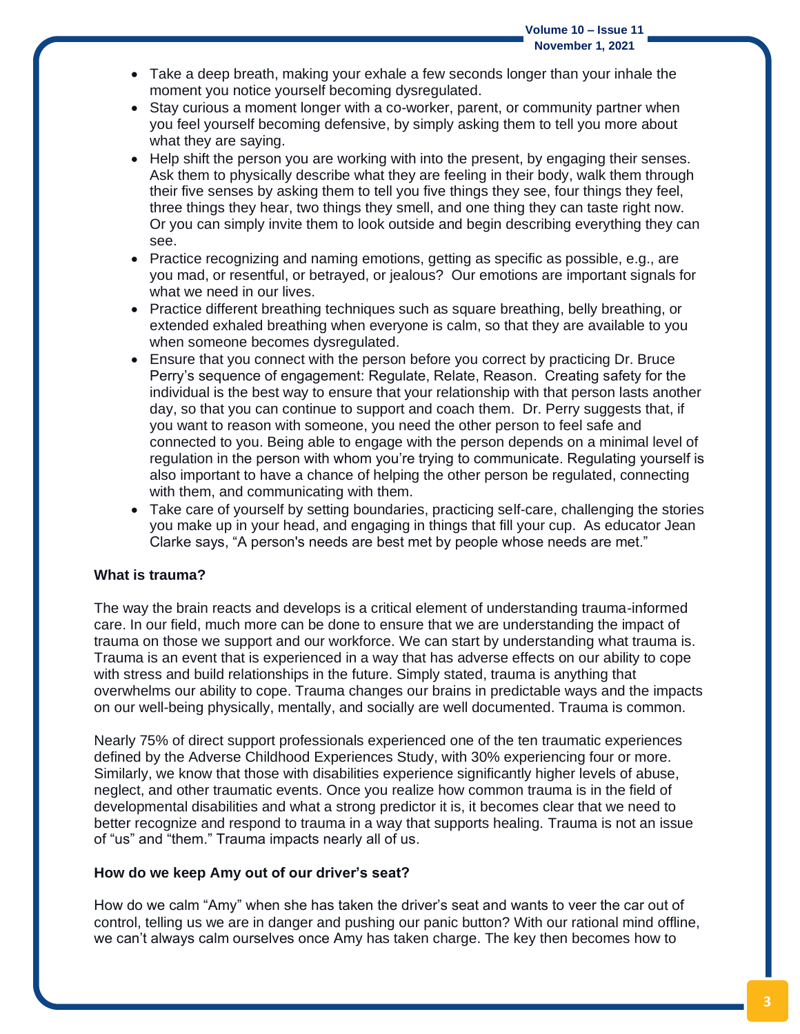- Take a deep breath, making your exhale a few seconds longer than your inhale the moment you notice yourself becoming dysregulated.
- Stay curious a moment longer with a co-worker, parent, or community partner when you feel yourself becoming defensive, by simply asking them to tell you more about what they are saying.
- Help shift the person you are working with into the present, by engaging their senses. Ask them to physically describe what they are feeling in their body, walk them through their five senses by asking them to tell you five things they see, four things they feel, three things they hear, two things they smell, and one thing they can taste right now. Or you can simply invite them to look outside and begin describing everything they can see.
- Practice recognizing and naming emotions, getting as specific as possible, e.g., are you mad, or resentful, or betrayed, or jealous? Our emotions are important signals for what we need in our lives.
- Practice different breathing techniques such as square breathing, belly breathing, or extended exhaled breathing when everyone is calm, so that they are available to you when someone becomes dysregulated.
- Ensure that you connect with the person before you correct by practicing Dr. Bruce Perry's sequence of engagement: Regulate, Relate, Reason. Creating safety for the individual is the best way to ensure that your relationship with that person lasts another day, so that you can continue to support and coach them. Dr. Perry suggests that, if you want to reason with someone, you need the other person to feel safe and connected to you. Being able to engage with the person depends on a minimal level of regulation in the person with whom you're trying to communicate. Regulating yourself is also important to have a chance of helping the other person be regulated, connecting with them, and communicating with them.
- Take care of yourself by setting boundaries, practicing self-care, challenging the stories you make up in your head, and engaging in things that fill your cup. As educator Jean Clarke says, "A person's needs are best met by people whose needs are met."

#### **What is trauma?**

The way the brain reacts and develops is a critical element of understanding trauma-informed care. In our field, much more can be done to ensure that we are understanding the impact of trauma on those we support and our workforce. We can start by understanding what trauma is. Trauma is an event that is experienced in a way that has adverse effects on our ability to cope with stress and build relationships in the future. Simply stated, trauma is anything that overwhelms our ability to cope. Trauma changes our brains in predictable ways and the impacts on our well-being physically, mentally, and socially are well documented. Trauma is common.

Nearly 75% of direct support professionals experienced one of the ten traumatic experiences defined by the Adverse Childhood Experiences Study, with 30% experiencing four or more. Similarly, we know that those with disabilities experience significantly higher levels of abuse, neglect, and other traumatic events. Once you realize how common trauma is in the field of developmental disabilities and what a strong predictor it is, it becomes clear that we need to better recognize and respond to trauma in a way that supports healing. Trauma is not an issue of "us" and "them." Trauma impacts nearly all of us.

#### **How do we keep Amy out of our driver's seat?**

How do we calm "Amy" when she has taken the driver's seat and wants to veer the car out of control, telling us we are in danger and pushing our panic button? With our rational mind offline, we can't always calm ourselves once Amy has taken charge. The key then becomes how to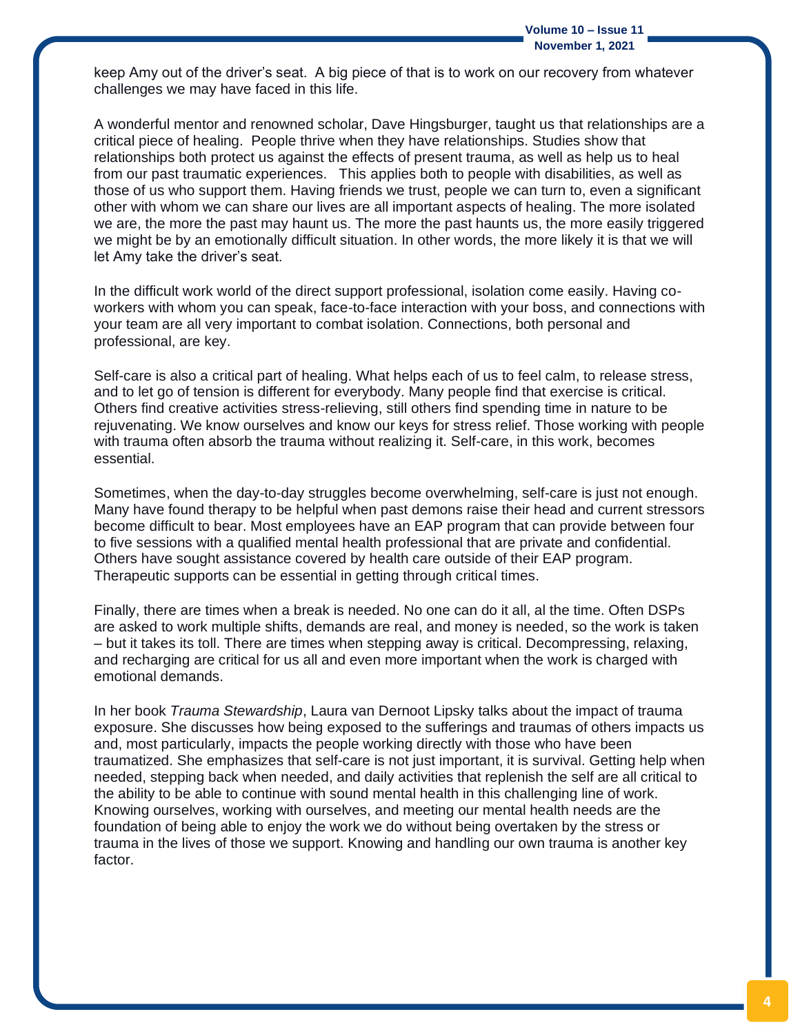keep Amy out of the driver's seat. A big piece of that is to work on our recovery from whatever challenges we may have faced in this life.

A wonderful mentor and renowned scholar, Dave Hingsburger, taught us that relationships are a critical piece of healing. People thrive when they have relationships. Studies show that relationships both protect us against the effects of present trauma, as well as help us to heal from our past traumatic experiences. This applies both to people with disabilities, as well as those of us who support them. Having friends we trust, people we can turn to, even a significant other with whom we can share our lives are all important aspects of healing. The more isolated we are, the more the past may haunt us. The more the past haunts us, the more easily triggered we might be by an emotionally difficult situation. In other words, the more likely it is that we will let Amy take the driver's seat.

In the difficult work world of the direct support professional, isolation come easily. Having coworkers with whom you can speak, face-to-face interaction with your boss, and connections with your team are all very important to combat isolation. Connections, both personal and professional, are key.

Self-care is also a critical part of healing. What helps each of us to feel calm, to release stress, and to let go of tension is different for everybody. Many people find that exercise is critical. Others find creative activities stress-relieving, still others find spending time in nature to be rejuvenating. We know ourselves and know our keys for stress relief. Those working with people with trauma often absorb the trauma without realizing it. Self-care, in this work, becomes essential.

Sometimes, when the day-to-day struggles become overwhelming, self-care is just not enough. Many have found therapy to be helpful when past demons raise their head and current stressors become difficult to bear. Most employees have an EAP program that can provide between four to five sessions with a qualified mental health professional that are private and confidential. Others have sought assistance covered by health care outside of their EAP program. Therapeutic supports can be essential in getting through critical times.

Finally, there are times when a break is needed. No one can do it all, al the time. Often DSPs are asked to work multiple shifts, demands are real, and money is needed, so the work is taken – but it takes its toll. There are times when stepping away is critical. Decompressing, relaxing, and recharging are critical for us all and even more important when the work is charged with emotional demands.

In her book *Trauma Stewardship*, Laura van Dernoot Lipsky talks about the impact of trauma exposure. She discusses how being exposed to the sufferings and traumas of others impacts us and, most particularly, impacts the people working directly with those who have been traumatized. She emphasizes that self-care is not just important, it is survival. Getting help when needed, stepping back when needed, and daily activities that replenish the self are all critical to the ability to be able to continue with sound mental health in this challenging line of work. Knowing ourselves, working with ourselves, and meeting our mental health needs are the foundation of being able to enjoy the work we do without being overtaken by the stress or trauma in the lives of those we support. Knowing and handling our own trauma is another key factor.